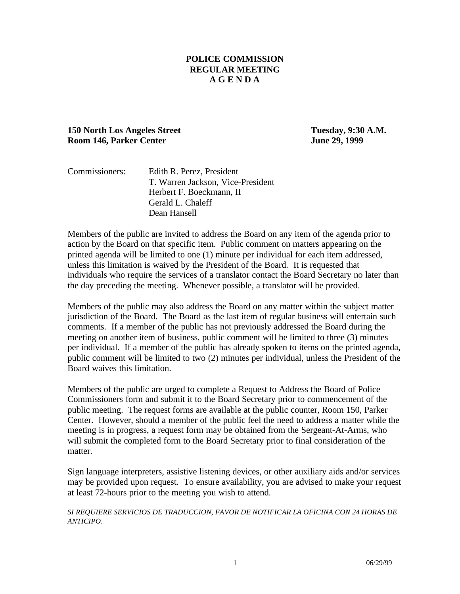### **POLICE COMMISSION REGULAR MEETING A G E N D A**

### **150 North Los Angeles Street Tuesday, 9:30 A.M. Room 146, Parker Center June 29, 1999**

| Commissioners: | Edith R. Perez, President         |
|----------------|-----------------------------------|
|                | T. Warren Jackson, Vice-President |
|                | Herbert F. Boeckmann, II          |
|                | Gerald L. Chaleff                 |
|                | Dean Hansell                      |

Members of the public are invited to address the Board on any item of the agenda prior to action by the Board on that specific item. Public comment on matters appearing on the printed agenda will be limited to one (1) minute per individual for each item addressed, unless this limitation is waived by the President of the Board. It is requested that individuals who require the services of a translator contact the Board Secretary no later than the day preceding the meeting. Whenever possible, a translator will be provided.

Members of the public may also address the Board on any matter within the subject matter jurisdiction of the Board. The Board as the last item of regular business will entertain such comments. If a member of the public has not previously addressed the Board during the meeting on another item of business, public comment will be limited to three (3) minutes per individual. If a member of the public has already spoken to items on the printed agenda, public comment will be limited to two (2) minutes per individual, unless the President of the Board waives this limitation.

Members of the public are urged to complete a Request to Address the Board of Police Commissioners form and submit it to the Board Secretary prior to commencement of the public meeting. The request forms are available at the public counter, Room 150, Parker Center. However, should a member of the public feel the need to address a matter while the meeting is in progress, a request form may be obtained from the Sergeant-At-Arms, who will submit the completed form to the Board Secretary prior to final consideration of the matter.

Sign language interpreters, assistive listening devices, or other auxiliary aids and/or services may be provided upon request. To ensure availability, you are advised to make your request at least 72-hours prior to the meeting you wish to attend.

*SI REQUIERE SERVICIOS DE TRADUCCION, FAVOR DE NOTIFICAR LA OFICINA CON 24 HORAS DE ANTICIPO*.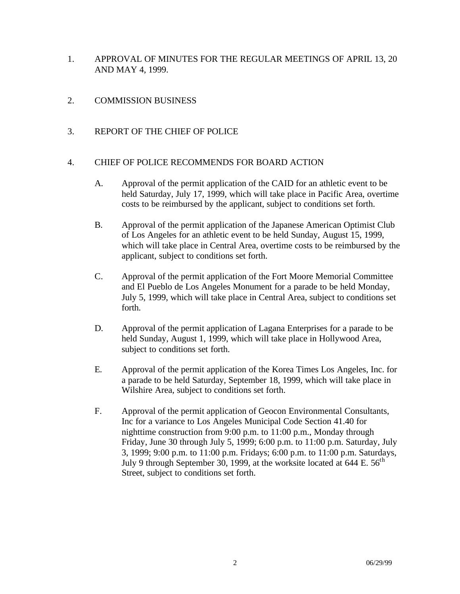- 1. APPROVAL OF MINUTES FOR THE REGULAR MEETINGS OF APRIL 13, 20 AND MAY 4, 1999.
- 2. COMMISSION BUSINESS
- 3. REPORT OF THE CHIEF OF POLICE

#### 4. CHIEF OF POLICE RECOMMENDS FOR BOARD ACTION

- A. Approval of the permit application of the CAID for an athletic event to be held Saturday, July 17, 1999, which will take place in Pacific Area, overtime costs to be reimbursed by the applicant, subject to conditions set forth.
- B. Approval of the permit application of the Japanese American Optimist Club of Los Angeles for an athletic event to be held Sunday, August 15, 1999, which will take place in Central Area, overtime costs to be reimbursed by the applicant, subject to conditions set forth.
- C. Approval of the permit application of the Fort Moore Memorial Committee and El Pueblo de Los Angeles Monument for a parade to be held Monday, July 5, 1999, which will take place in Central Area, subject to conditions set forth.
- D. Approval of the permit application of Lagana Enterprises for a parade to be held Sunday, August 1, 1999, which will take place in Hollywood Area, subject to conditions set forth.
- E. Approval of the permit application of the Korea Times Los Angeles, Inc. for a parade to be held Saturday, September 18, 1999, which will take place in Wilshire Area, subject to conditions set forth.
- F. Approval of the permit application of Geocon Environmental Consultants, Inc for a variance to Los Angeles Municipal Code Section 41.40 for nighttime construction from 9:00 p.m. to 11:00 p.m., Monday through Friday, June 30 through July 5, 1999; 6:00 p.m. to 11:00 p.m. Saturday, July 3, 1999; 9:00 p.m. to 11:00 p.m. Fridays; 6:00 p.m. to 11:00 p.m. Saturdays, July 9 through September 30, 1999, at the worksite located at  $644$  E.  $56<sup>th</sup>$ Street, subject to conditions set forth.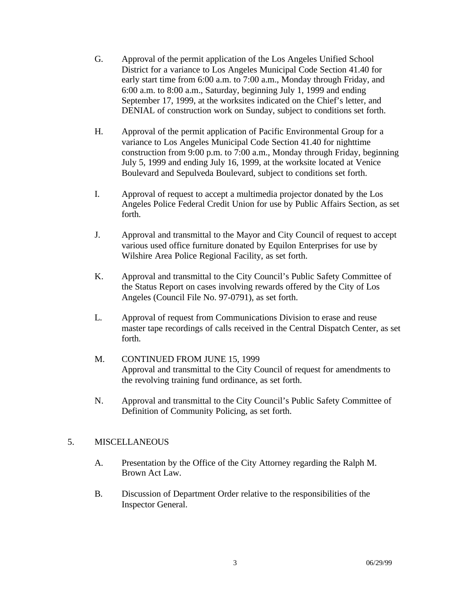- G. Approval of the permit application of the Los Angeles Unified School District for a variance to Los Angeles Municipal Code Section 41.40 for early start time from 6:00 a.m. to 7:00 a.m., Monday through Friday, and 6:00 a.m. to 8:00 a.m., Saturday, beginning July 1, 1999 and ending September 17, 1999, at the worksites indicated on the Chief's letter, and DENIAL of construction work on Sunday, subject to conditions set forth.
- H. Approval of the permit application of Pacific Environmental Group for a variance to Los Angeles Municipal Code Section 41.40 for nighttime construction from 9:00 p.m. to 7:00 a.m., Monday through Friday, beginning July 5, 1999 and ending July 16, 1999, at the worksite located at Venice Boulevard and Sepulveda Boulevard, subject to conditions set forth.
- I. Approval of request to accept a multimedia projector donated by the Los Angeles Police Federal Credit Union for use by Public Affairs Section, as set forth.
- J. Approval and transmittal to the Mayor and City Council of request to accept various used office furniture donated by Equilon Enterprises for use by Wilshire Area Police Regional Facility, as set forth.
- K. Approval and transmittal to the City Council's Public Safety Committee of the Status Report on cases involving rewards offered by the City of Los Angeles (Council File No. 97-0791), as set forth.
- L. Approval of request from Communications Division to erase and reuse master tape recordings of calls received in the Central Dispatch Center, as set forth.
- M. CONTINUED FROM JUNE 15, 1999 Approval and transmittal to the City Council of request for amendments to the revolving training fund ordinance, as set forth.
- N. Approval and transmittal to the City Council's Public Safety Committee of Definition of Community Policing, as set forth.

#### 5. MISCELLANEOUS

- A. Presentation by the Office of the City Attorney regarding the Ralph M. Brown Act Law.
- B. Discussion of Department Order relative to the responsibilities of the Inspector General.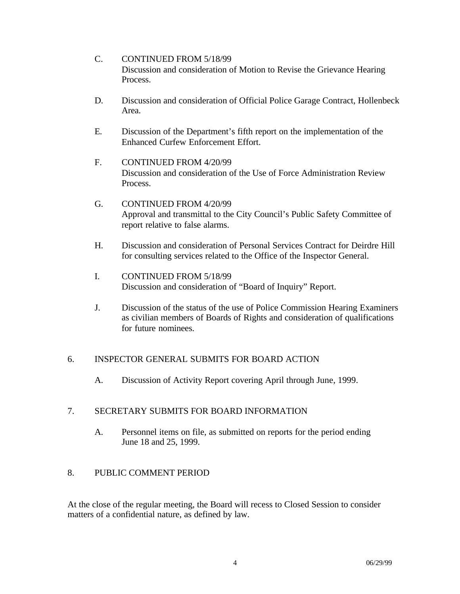- C. CONTINUED FROM 5/18/99 Discussion and consideration of Motion to Revise the Grievance Hearing Process.
- D. Discussion and consideration of Official Police Garage Contract, Hollenbeck Area.
- E. Discussion of the Department's fifth report on the implementation of the Enhanced Curfew Enforcement Effort.
- F. CONTINUED FROM 4/20/99 Discussion and consideration of the Use of Force Administration Review Process.
- G. CONTINUED FROM 4/20/99 Approval and transmittal to the City Council's Public Safety Committee of report relative to false alarms.
- H. Discussion and consideration of Personal Services Contract for Deirdre Hill for consulting services related to the Office of the Inspector General.
- I. CONTINUED FROM 5/18/99 Discussion and consideration of "Board of Inquiry" Report.
- J. Discussion of the status of the use of Police Commission Hearing Examiners as civilian members of Boards of Rights and consideration of qualifications for future nominees.

# 6. INSPECTOR GENERAL SUBMITS FOR BOARD ACTION

A. Discussion of Activity Report covering April through June, 1999.

# 7. SECRETARY SUBMITS FOR BOARD INFORMATION

A. Personnel items on file, as submitted on reports for the period ending June 18 and 25, 1999.

# 8. PUBLIC COMMENT PERIOD

At the close of the regular meeting, the Board will recess to Closed Session to consider matters of a confidential nature, as defined by law.